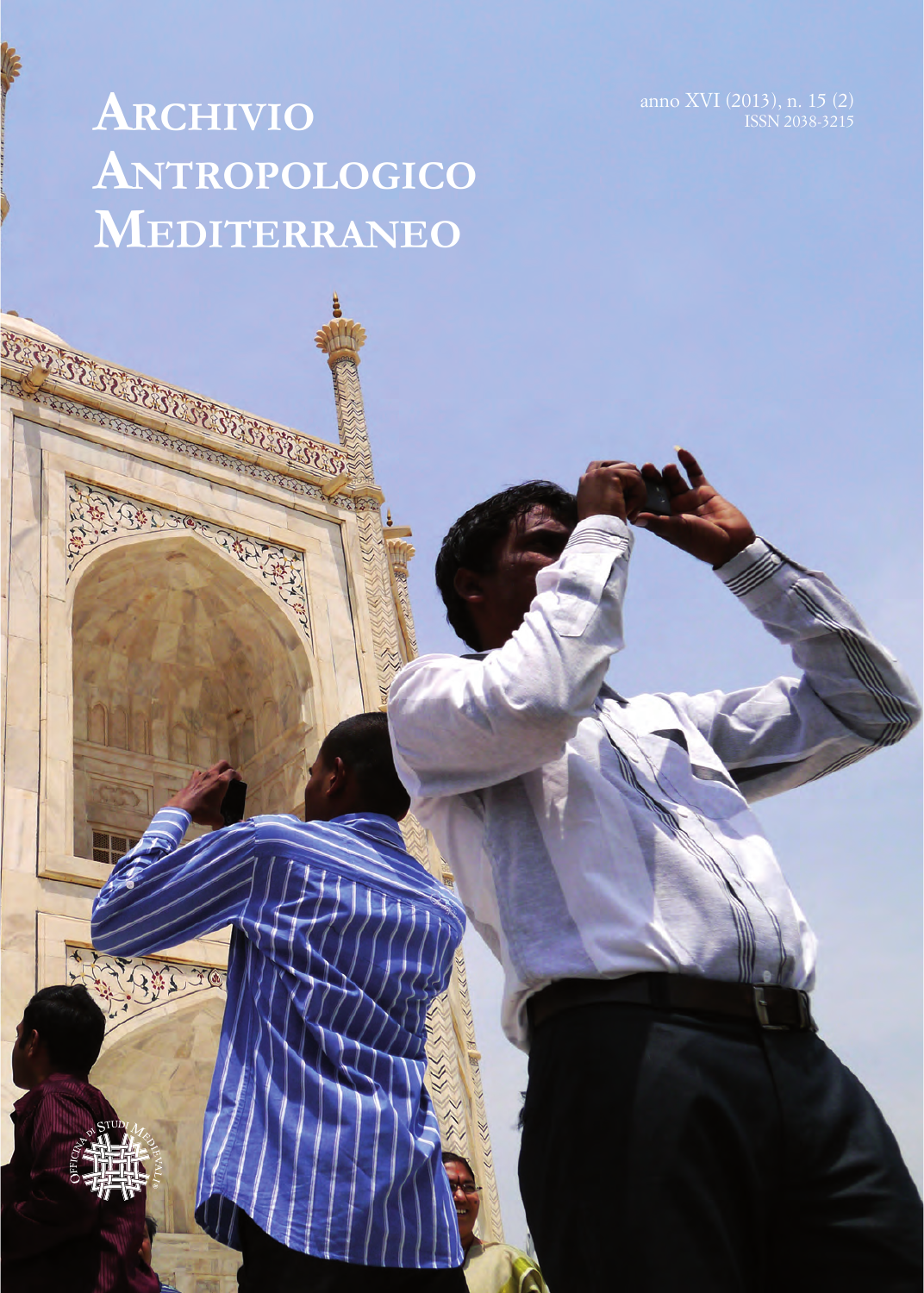ISSN 2038-3215

# **Archivio Antropologico Mediterraneo**



**RANCH RANCH RANCH RANCH RANCH RANCH RANCH RANCH RANCH RANCH RANCH RANCH RANCH RANCH RANCH RANCH RANCH RANCH RA** 

**RANCH CONTROLLER REPORT** 

BUTT

FOR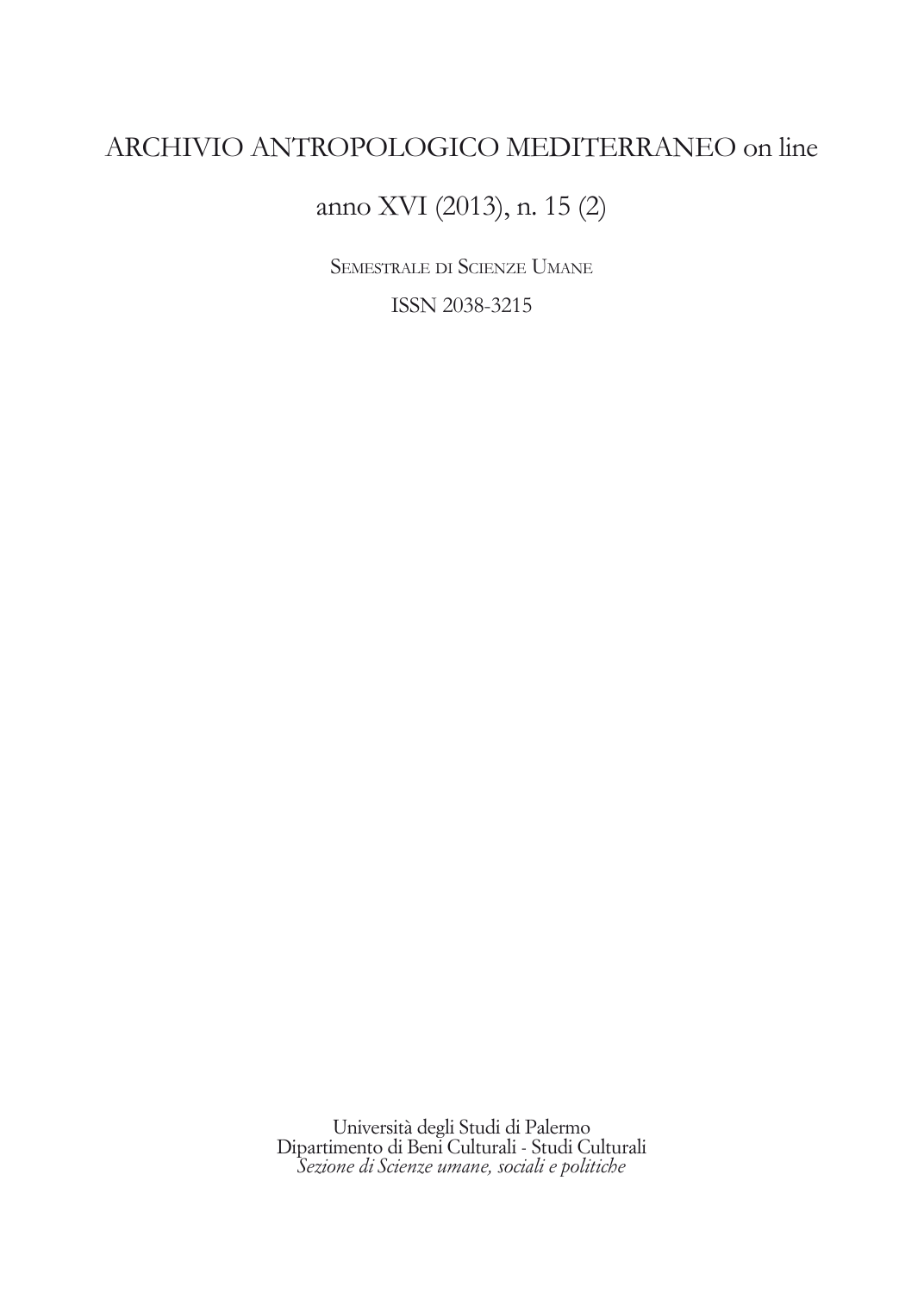# ARCHIVIO ANTROPOLOGICO MEDITERRANEO on line

anno XVI (2013), n. 15 (2)

Semestrale di Scienze Umane

ISSN 2038-3215

Università degli Studi di Palermo Dipartimento di Beni Culturali - Studi Culturali *Sezione di Scienze umane, sociali e politiche*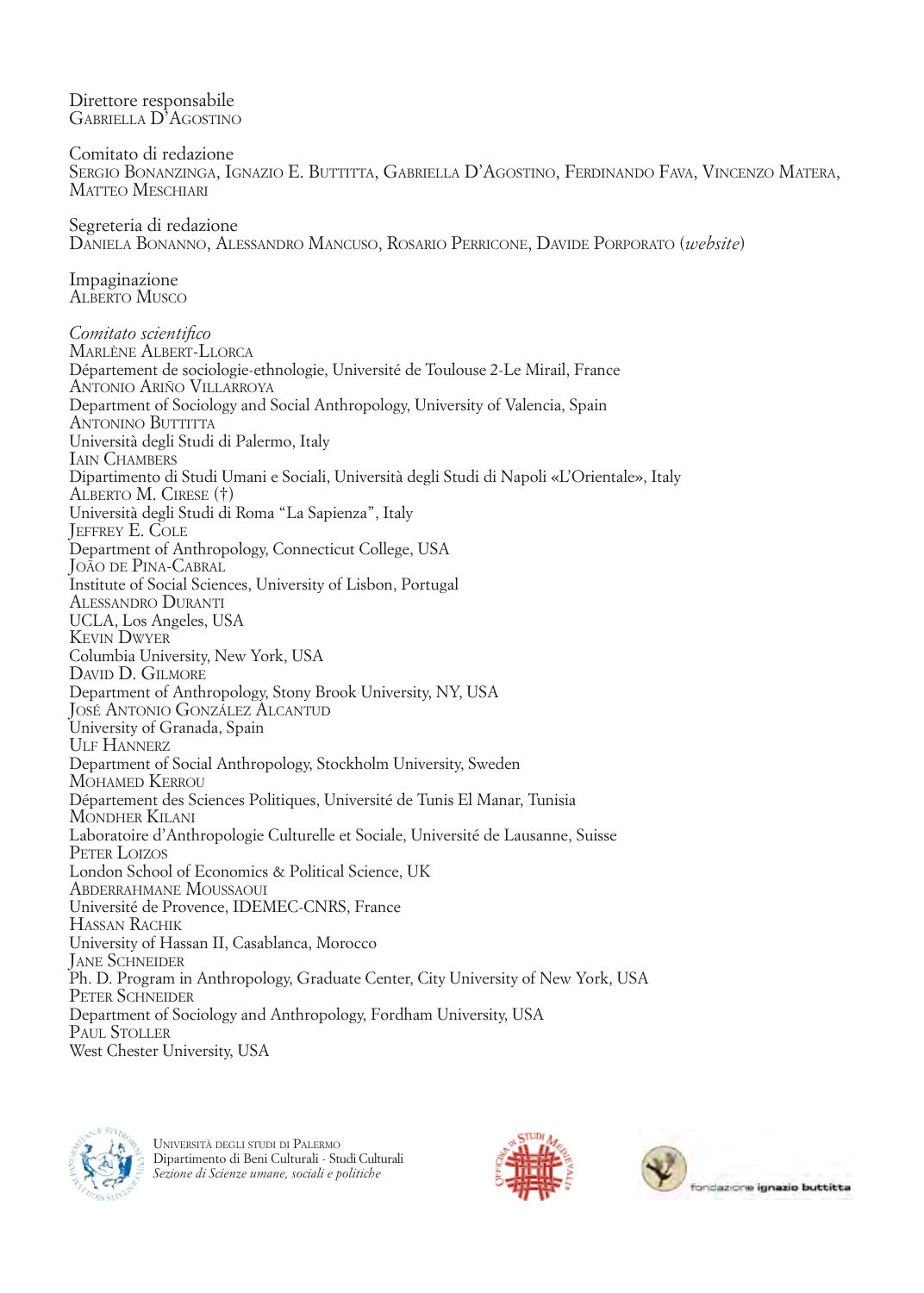Direttore responsabile Gabriella D'Agostino Comitato di redazione Sergio Bonanzinga, Ignazio E. Buttitta, Gabriella D'Agostino, Ferdinando Fava, Vincenzo Matera, MATTEO MESCHIARI Segreteria di redazione Daniela Bonanno, Alessandro Mancuso, Rosario Perricone, Davide Porporato (*website*) Impaginazione Alberto Musco *Comitato scientifico*  Marlène Albert-Llorca Département de sociologie-ethnologie, Université de Toulouse 2-Le Mirail, France Antonio Ariño Villarroya Department of Sociology and Social Anthropology, University of Valencia, Spain ANTONINO BUTTITTA Università degli Studi di Palermo, Italy IAIN CHAMBERS Dipartimento di Studi Umani e Sociali, Università degli Studi di Napoli «L'Orientale», Italy Alberto M. Cirese (†) Università degli Studi di Roma "La Sapienza", Italy Jeffrey E. Cole Department of Anthropology, Connecticut College, USA João de Pina-Cabral Institute of Social Sciences, University of Lisbon, Portugal Alessandro Duranti UCLA, Los Angeles, USA Kevin Dwyer Columbia University, New York, USA David D. Gilmore Department of Anthropology, Stony Brook University, NY, USA José Antonio González Alcantud University of Granada, Spain ULF HANNERZ Department of Social Anthropology, Stockholm University, Sweden Mohamed Kerrou Département des Sciences Politiques, Université de Tunis El Manar, Tunisia Mondher Kilani Laboratoire d'Anthropologie Culturelle et Sociale, Université de Lausanne, Suisse PETER LOIZOS London School of Economics & Political Science, UK Abderrahmane Moussaoui Université de Provence, IDEMEC-CNRS, France Hassan Rachik University of Hassan II, Casablanca, Morocco **JANE SCHNEIDER** Ph. D. Program in Anthropology, Graduate Center, City University of New York, USA PETER SCHNEIDER Department of Sociology and Anthropology, Fordham University, USA PAUL STOLLER West Chester University, USA



Università degli studi di Palermo Dipartimento di Beni Culturali - Studi Culturali *Sezione di Scienze umane, sociali e politiche*



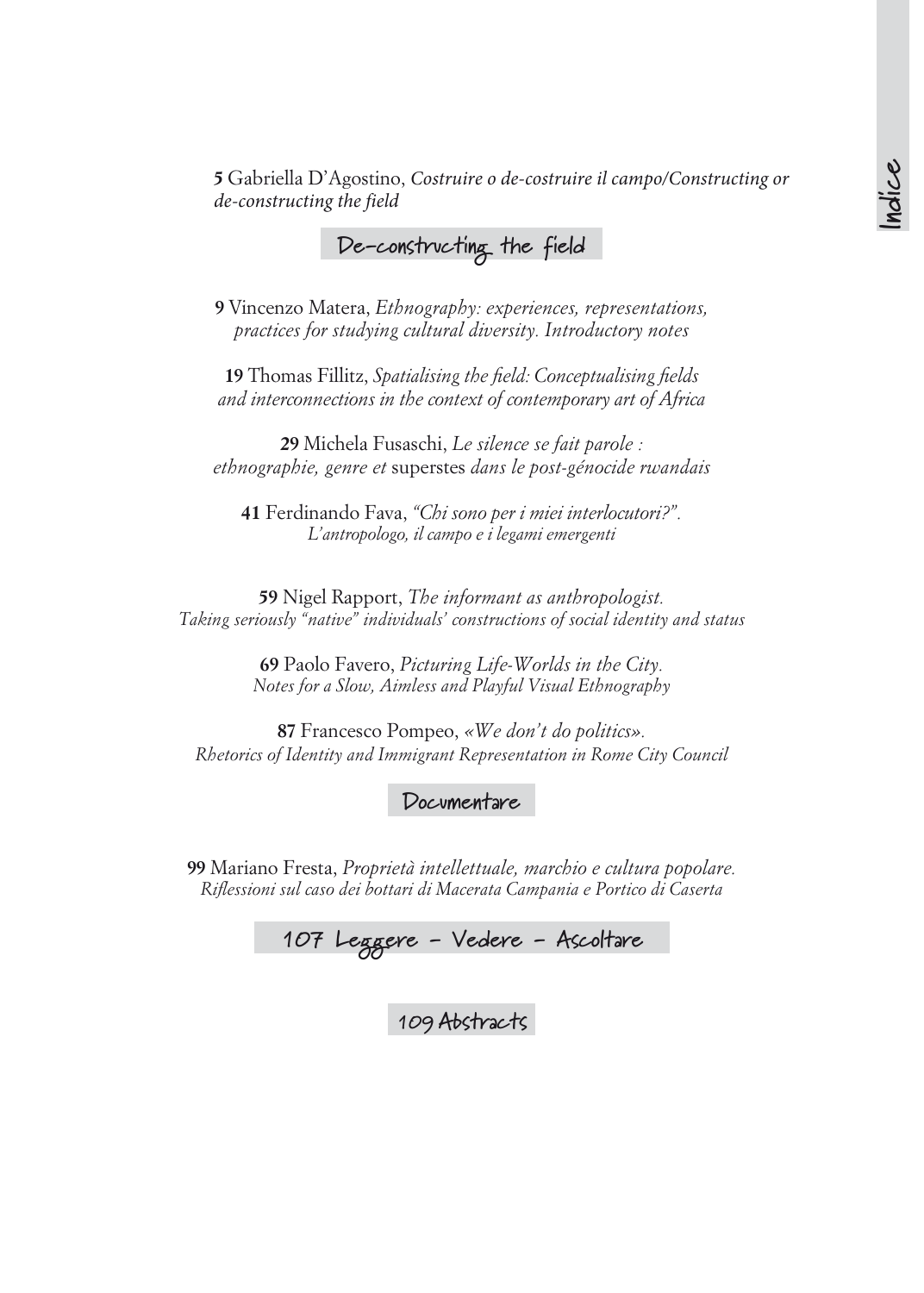**5** Gabriella D'Agostino, *Costruire o de-costruire il campo/Constructing or de-constructing the field*

## **De-constructing the field**

**9** Vincenzo Matera, *Ethnography: experiences, representations, practices for studying cultural diversity. Introductory notes*

**19** Thomas Fillitz, *Spatialising the field: Conceptualising fields and interconnections in the context of contemporary art of Africa* 

**29** Michela Fusaschi, *Le silence se fait parole : ethnographie, genre et* superstes *dans le post-génocide rwandais*

**41** Ferdinando Fava, *"Chi sono per i miei interlocutori?". L'antropologo, il campo e i legami emergenti*

**59** Nigel Rapport, *The informant as anthropologist. Taking seriously "native" individuals' constructions of social identity and status*

> **69** Paolo Favero, *Picturing Life-Worlds in the City. Notes for a Slow, Aimless and Playful Visual Ethnography*

**87** Francesco Pompeo, *«We don't do politics». Rhetorics of Identity and Immigrant Representation in Rome City Council*

**Documentare**

**99** Mariano Fresta, *Proprietà intellettuale, marchio e cultura popolare. Riflessioni sul caso dei bottari di Macerata Campania e Portico di Caserta*

**107 Leggere - Vedere - Ascoltare**

**109 Abstracts**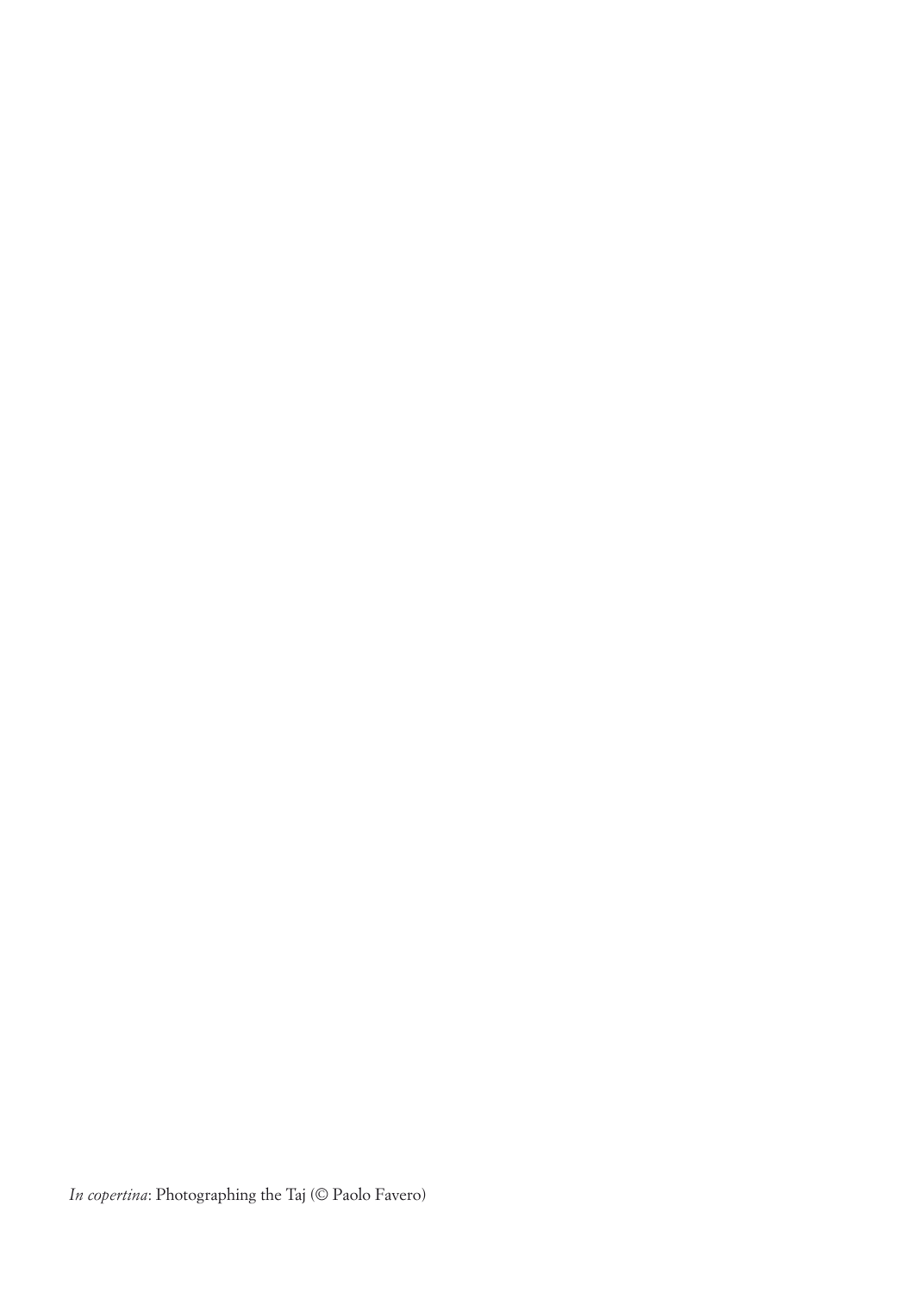*In copertina*: Photographing the Taj (© Paolo Favero)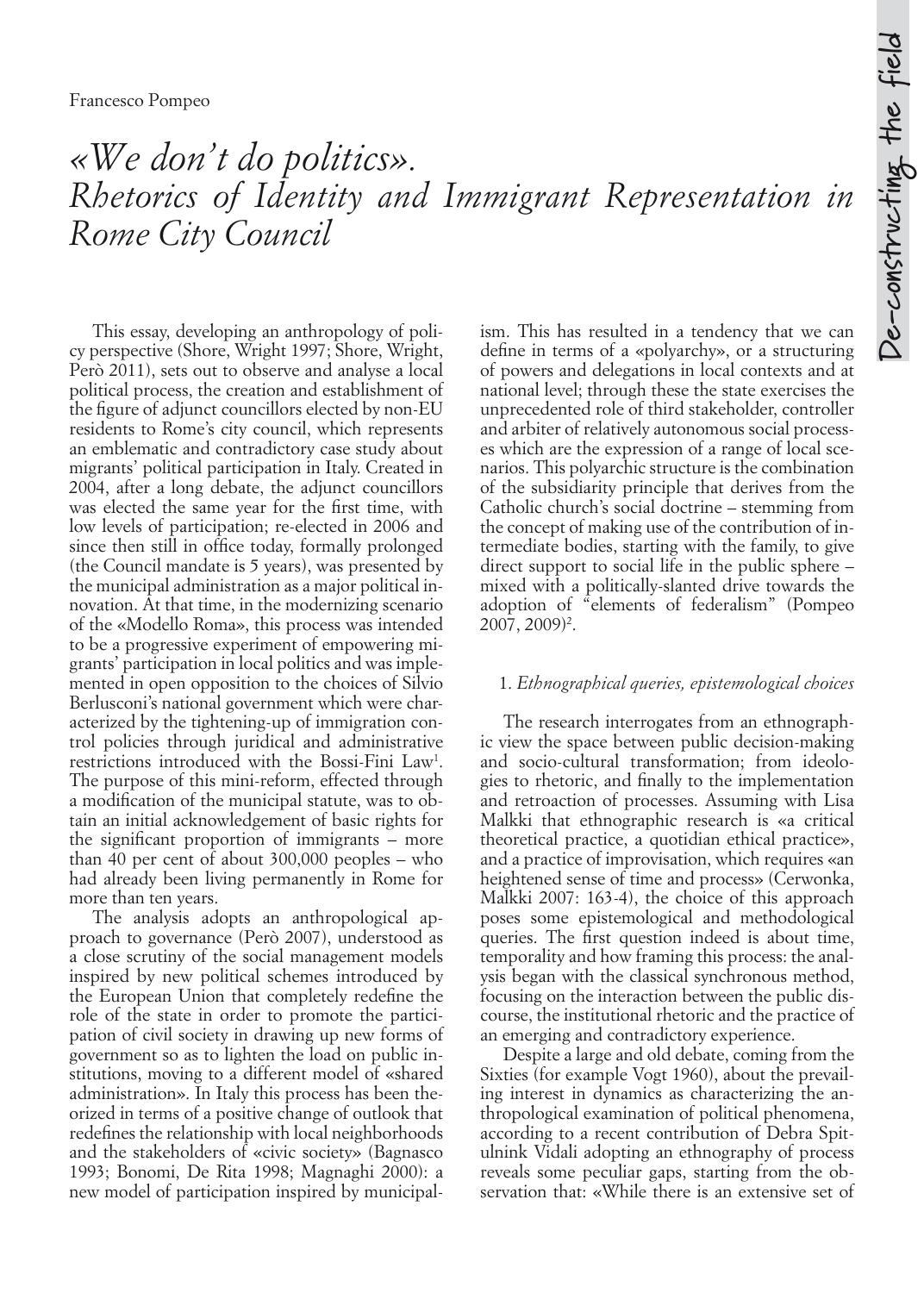# *«We don't do politics». Rhetorics of Identity and Immigrant Representation in Rome City Council*

This essay, developing an anthropology of policy perspective (Shore, Wright 1997; Shore, Wright, Però 2011), sets out to observe and analyse a local political process, the creation and establishment of the figure of adjunct councillors elected by non-EU residents to Rome's city council, which represents an emblematic and contradictory case study about migrants' political participation in Italy. Created in 2004, after a long debate, the adjunct councillors was elected the same year for the first time, with low levels of participation; re-elected in 2006 and since then still in office today, formally prolonged (the Council mandate is 5 years), was presented by the municipal administration as a major political innovation. At that time, in the modernizing scenario of the «Modello Roma», this process was intended to be a progressive experiment of empowering migrants' participation in local politics and was implemented in open opposition to the choices of Silvio Berlusconi's national government which were characterized by the tightening-up of immigration control policies through juridical and administrative restrictions introduced with the Bossi-Fini Law<sup>1</sup>. The purpose of this mini-reform, effected through a modification of the municipal statute, was to obtain an initial acknowledgement of basic rights for the significant proportion of immigrants – more than 40 per cent of about 300,000 peoples – who had already been living permanently in Rome for more than ten years.

The analysis adopts an anthropological approach to governance (Però 2007), understood as a close scrutiny of the social management models inspired by new political schemes introduced by the European Union that completely redefine the role of the state in order to promote the participation of civil society in drawing up new forms of government so as to lighten the load on public institutions, moving to a different model of «shared administration». In Italy this process has been theorized in terms of a positive change of outlook that redefines the relationship with local neighborhoods and the stakeholders of «civic society» (Bagnasco 1993; Bonomi, De Rita 1998; Magnaghi 2000): a new model of participation inspired by municipalism. This has resulted in a tendency that we can define in terms of a «polyarchy», or a structuring of powers and delegations in local contexts and at national level; through these the state exercises the unprecedented role of third stakeholder, controller and arbiter of relatively autonomous social processes which are the expression of a range of local scenarios. This polyarchic structure is the combination of the subsidiarity principle that derives from the Catholic church's social doctrine – stemming from the concept of making use of the contribution of intermediate bodies, starting with the family, to give direct support to social life in the public sphere – mixed with a politically-slanted drive towards the adoption of "elements of federalism" (Pompeo 2007, 2009)<sup>2</sup>.

#### 1. *Ethnographical queries, epistemological choices*

The research interrogates from an ethnographic view the space between public decision-making and socio-cultural transformation; from ideologies to rhetoric, and finally to the implementation and retroaction of processes. Assuming with Lisa Malkki that ethnographic research is «a critical theoretical practice, a quotidian ethical practice», and a practice of improvisation, which requires «an heightened sense of time and process» (Cerwonka, Malkki 2007: 163-4), the choice of this approach poses some epistemological and methodological queries. The first question indeed is about time, temporality and how framing this process: the analysis began with the classical synchronous method, focusing on the interaction between the public discourse, the institutional rhetoric and the practice of an emerging and contradictory experience.

Despite a large and old debate, coming from the Sixties (for example Vogt 1960), about the prevailing interest in dynamics as characterizing the anthropological examination of political phenomena, according to a recent contribution of Debra Spitulnink Vidali adopting an ethnography of process reveals some peculiar gaps, starting from the observation that: «While there is an extensive set of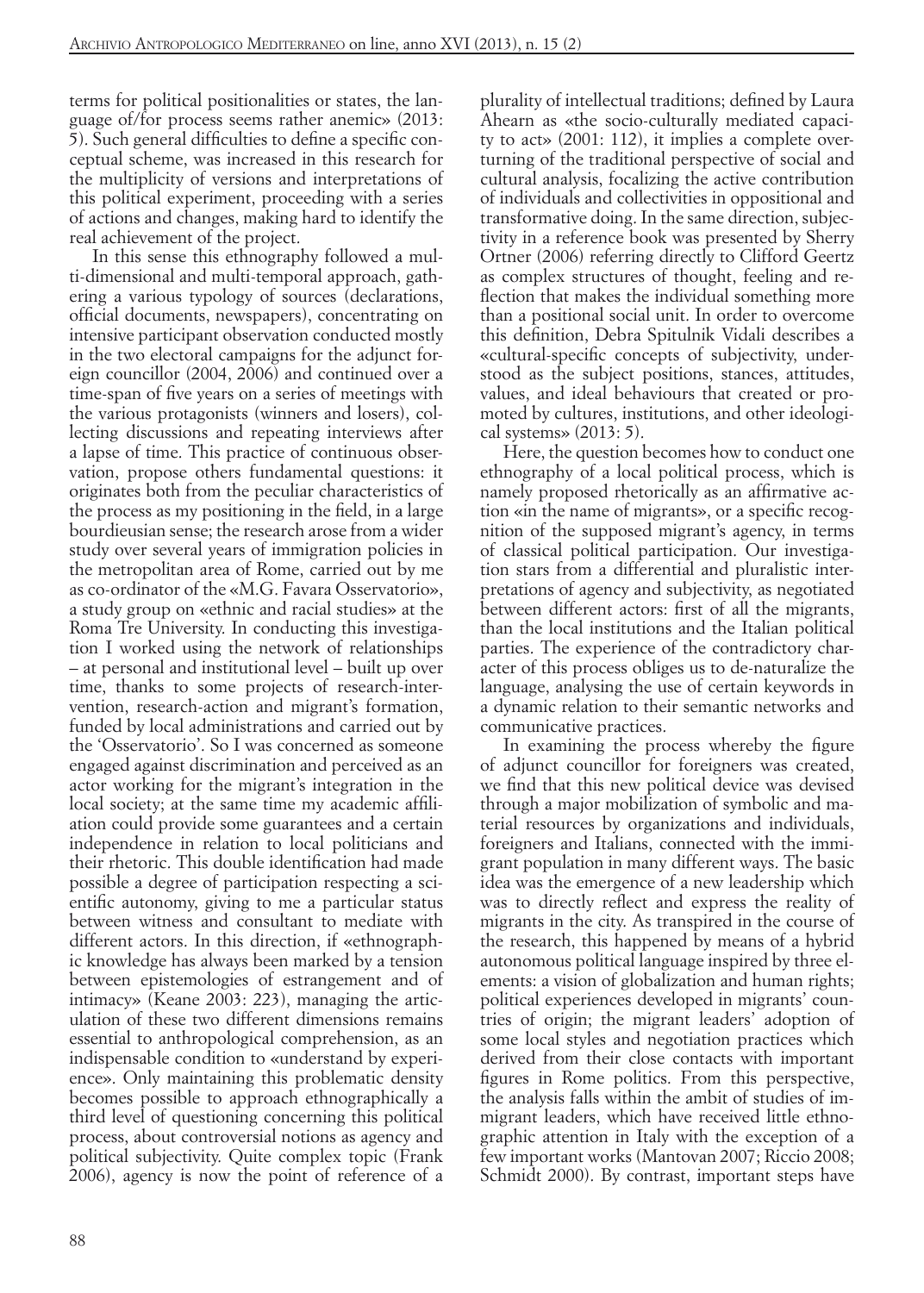terms for political positionalities or states, the language of/for process seems rather anemic» (2013: 5). Such general difficulties to define a specific conceptual scheme, was increased in this research for the multiplicity of versions and interpretations of this political experiment, proceeding with a series of actions and changes, making hard to identify the real achievement of the project.

In this sense this ethnography followed a multi-dimensional and multi-temporal approach, gathering a various typology of sources (declarations, official documents, newspapers), concentrating on intensive participant observation conducted mostly in the two electoral campaigns for the adjunct foreign councillor (2004, 2006) and continued over a time-span of five years on a series of meetings with the various protagonists (winners and losers), collecting discussions and repeating interviews after a lapse of time. This practice of continuous observation, propose others fundamental questions: it originates both from the peculiar characteristics of the process as my positioning in the field, in a large bourdieusian sense; the research arose from a wider study over several years of immigration policies in the metropolitan area of Rome, carried out by me as co-ordinator of the «M.G. Favara Osservatorio», a study group on «ethnic and racial studies» at the Roma Tre University. In conducting this investigation I worked using the network of relationships – at personal and institutional level – built up over time, thanks to some projects of research-intervention, research-action and migrant's formation, funded by local administrations and carried out by the 'Osservatorio'. So I was concerned as someone engaged against discrimination and perceived as an actor working for the migrant's integration in the local society; at the same time my academic affiliation could provide some guarantees and a certain independence in relation to local politicians and their rhetoric. This double identification had made possible a degree of participation respecting a scientific autonomy, giving to me a particular status between witness and consultant to mediate with different actors. In this direction, if «ethnographic knowledge has always been marked by a tension between epistemologies of estrangement and of intimacy» (Keane 2003: 223), managing the articulation of these two different dimensions remains essential to anthropological comprehension, as an indispensable condition to «understand by experience». Only maintaining this problematic density becomes possible to approach ethnographically a third level of questioning concerning this political process, about controversial notions as agency and political subjectivity. Quite complex topic (Frank 2006), agency is now the point of reference of a

plurality of intellectual traditions; defined by Laura Ahearn as «the socio-culturally mediated capacity to act» (2001: 112), it implies a complete overturning of the traditional perspective of social and cultural analysis, focalizing the active contribution of individuals and collectivities in oppositional and transformative doing. In the same direction, subjectivity in a reference book was presented by Sherry Ortner (2006) referring directly to Clifford Geertz as complex structures of thought, feeling and reflection that makes the individual something more than a positional social unit. In order to overcome this definition, Debra Spitulnik Vidali describes a «cultural-specific concepts of subjectivity, understood as the subject positions, stances, attitudes, values, and ideal behaviours that created or promoted by cultures, institutions, and other ideological systems» (2013: 5).

Here, the question becomes how to conduct one ethnography of a local political process, which is namely proposed rhetorically as an affirmative action «in the name of migrants», or a specific recognition of the supposed migrant's agency, in terms of classical political participation. Our investigation stars from a differential and pluralistic interpretations of agency and subjectivity, as negotiated between different actors: first of all the migrants, than the local institutions and the Italian political parties. The experience of the contradictory character of this process obliges us to de-naturalize the language, analysing the use of certain keywords in a dynamic relation to their semantic networks and communicative practices.

In examining the process whereby the figure of adjunct councillor for foreigners was created, we find that this new political device was devised through a major mobilization of symbolic and material resources by organizations and individuals, foreigners and Italians, connected with the immigrant population in many different ways. The basic idea was the emergence of a new leadership which was to directly reflect and express the reality of migrants in the city. As transpired in the course of the research, this happened by means of a hybrid autonomous political language inspired by three elements: a vision of globalization and human rights; political experiences developed in migrants' countries of origin; the migrant leaders' adoption of some local styles and negotiation practices which derived from their close contacts with important figures in Rome politics. From this perspective, the analysis falls within the ambit of studies of immigrant leaders, which have received little ethnographic attention in Italy with the exception of a few important works (Mantovan 2007; Riccio 2008; Schmidt 2000). By contrast, important steps have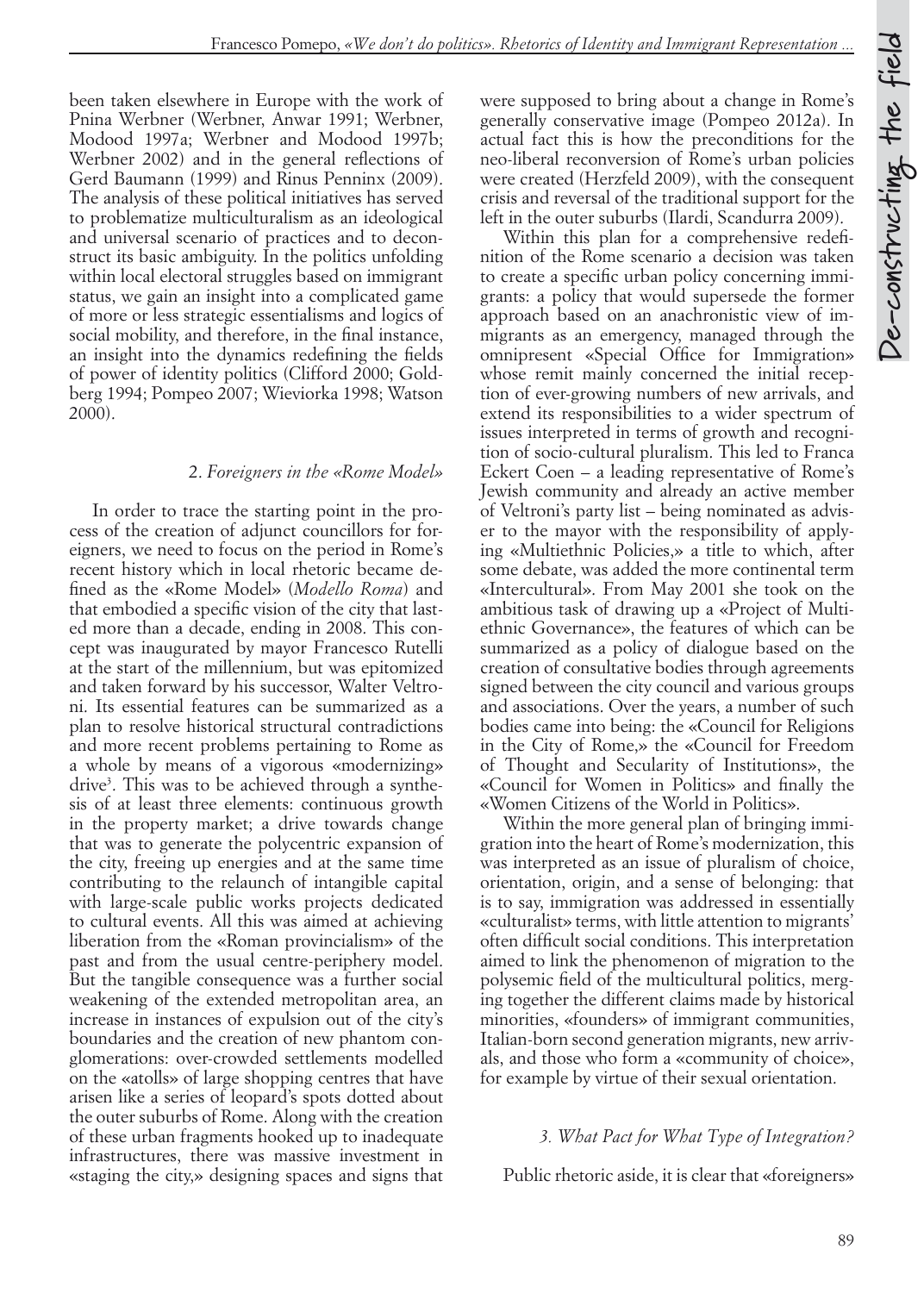been taken elsewhere in Europe with the work of Pnina Werbner (Werbner, Anwar 1991; Werbner, Modood 1997a; Werbner and Modood 1997b; Werbner 2002) and in the general reflections of Gerd Baumann (1999) and Rinus Penninx (2009). The analysis of these political initiatives has served to problematize multiculturalism as an ideological and universal scenario of practices and to deconstruct its basic ambiguity. In the politics unfolding within local electoral struggles based on immigrant status, we gain an insight into a complicated game of more or less strategic essentialisms and logics of social mobility, and therefore, in the final instance, an insight into the dynamics redefining the fields of power of identity politics (Clifford 2000; Goldberg 1994; Pompeo 2007; Wieviorka 1998; Watson 2000).

#### 2. *Foreigners in the «Rome Model»*

In order to trace the starting point in the process of the creation of adjunct councillors for foreigners, we need to focus on the period in Rome's recent history which in local rhetoric became defined as the «Rome Model» (*Modello Roma*) and that embodied a specific vision of the city that lasted more than a decade, ending in 2008. This concept was inaugurated by mayor Francesco Rutelli at the start of the millennium, but was epitomized and taken forward by his successor, Walter Veltroni. Its essential features can be summarized as a plan to resolve historical structural contradictions and more recent problems pertaining to Rome as a whole by means of a vigorous «modernizing» drive3 . This was to be achieved through a synthesis of at least three elements: continuous growth in the property market; a drive towards change that was to generate the polycentric expansion of the city, freeing up energies and at the same time contributing to the relaunch of intangible capital with large-scale public works projects dedicated to cultural events. All this was aimed at achieving liberation from the «Roman provincialism» of the past and from the usual centre-periphery model. But the tangible consequence was a further social weakening of the extended metropolitan area, an increase in instances of expulsion out of the city's boundaries and the creation of new phantom conglomerations: over-crowded settlements modelled on the «atolls» of large shopping centres that have arisen like a series of leopard's spots dotted about the outer suburbs of Rome. Along with the creation of these urban fragments hooked up to inadequate infrastructures, there was massive investment in «staging the city,» designing spaces and signs that

were supposed to bring about a change in Rome's generally conservative image (Pompeo 2012a). In actual fact this is how the preconditions for the neo-liberal reconversion of Rome's urban policies were created (Herzfeld 2009), with the consequent crisis and reversal of the traditional support for the left in the outer suburbs (Ilardi, Scandurra 2009).

Within this plan for a comprehensive redefinition of the Rome scenario a decision was taken to create a specific urban policy concerning immigrants: a policy that would supersede the former approach based on an anachronistic view of immigrants as an emergency, managed through the omnipresent «Special Office for Immigration» whose remit mainly concerned the initial reception of ever-growing numbers of new arrivals, and extend its responsibilities to a wider spectrum of issues interpreted in terms of growth and recognition of socio-cultural pluralism. This led to Franca Eckert Coen – a leading representative of Rome's Jewish community and already an active member of Veltroni's party list – being nominated as adviser to the mayor with the responsibility of applying «Multiethnic Policies,» a title to which, after some debate, was added the more continental term «Intercultural». From May 2001 she took on the ambitious task of drawing up a «Project of Multiethnic Governance», the features of which can be summarized as a policy of dialogue based on the creation of consultative bodies through agreements signed between the city council and various groups and associations. Over the years, a number of such bodies came into being: the «Council for Religions in the City of Rome,» the «Council for Freedom of Thought and Secularity of Institutions», the «Council for Women in Politics» and finally the «Women Citizens of the World in Politics».

Within the more general plan of bringing immigration into the heart of Rome's modernization, this was interpreted as an issue of pluralism of choice, orientation, origin, and a sense of belonging: that is to say, immigration was addressed in essentially «culturalist» terms, with little attention to migrants' often difficult social conditions. This interpretation aimed to link the phenomenon of migration to the polysemic field of the multicultural politics, merging together the different claims made by historical minorities, «founders» of immigrant communities, Italian-born second generation migrants, new arrivals, and those who form a «community of choice», for example by virtue of their sexual orientation.

#### *3. What Pact for What Type of Integration?*

Public rhetoric aside, it is clear that «foreigners»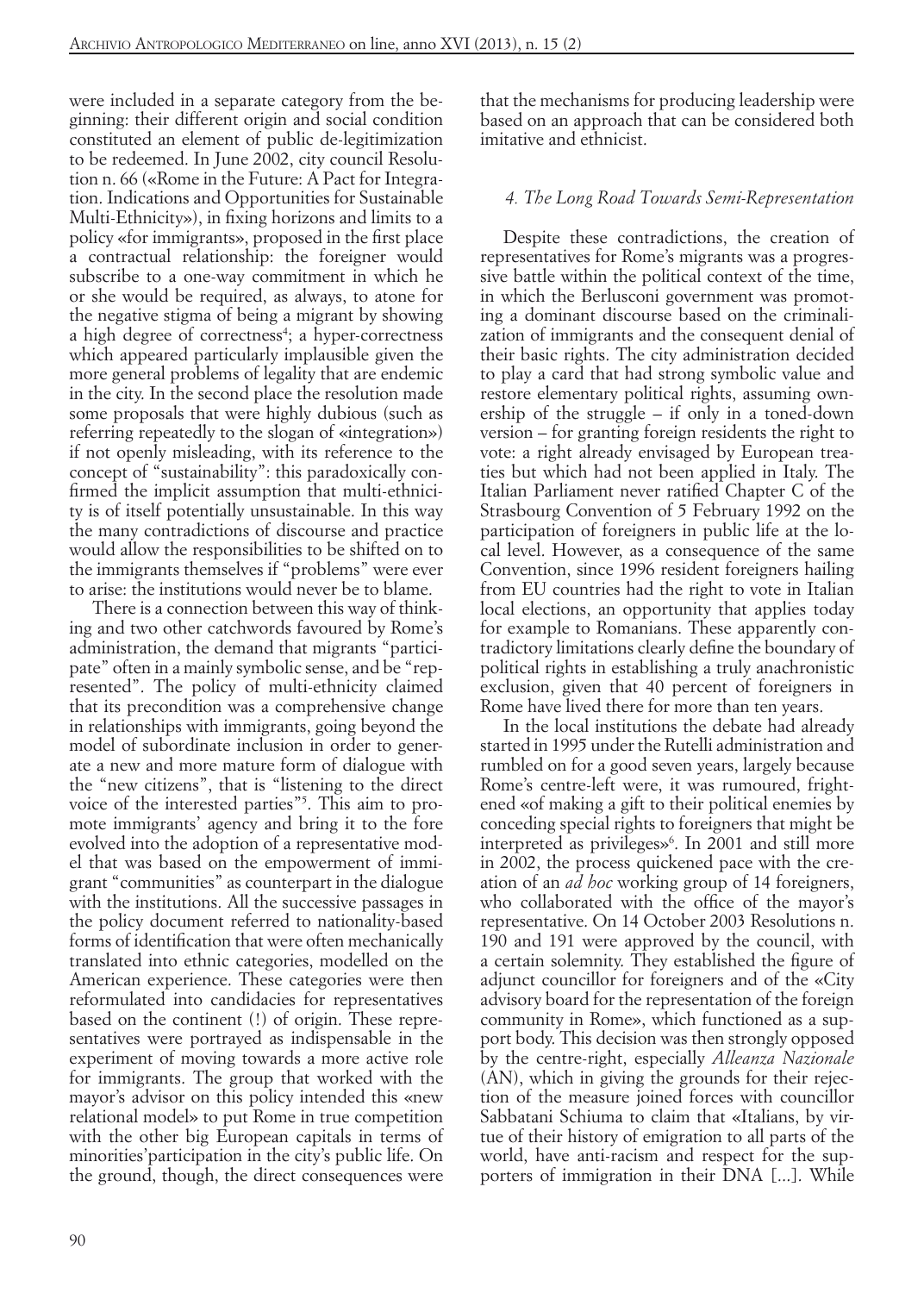were included in a separate category from the beginning: their different origin and social condition constituted an element of public de-legitimization to be redeemed. In June 2002, city council Resolution n. 66 («Rome in the Future: A Pact for Integration. Indications and Opportunities for Sustainable Multi-Ethnicity»), in fixing horizons and limits to a policy «for immigrants», proposed in the first place a contractual relationship: the foreigner would subscribe to a one-way commitment in which he or she would be required, as always, to atone for the negative stigma of being a migrant by showing a high degree of correctness<sup>4</sup>; a hyper-correctness which appeared particularly implausible given the more general problems of legality that are endemic in the city. In the second place the resolution made some proposals that were highly dubious (such as referring repeatedly to the slogan of «integration») if not openly misleading, with its reference to the concept of "sustainability": this paradoxically confirmed the implicit assumption that multi-ethnicity is of itself potentially unsustainable. In this way the many contradictions of discourse and practice would allow the responsibilities to be shifted on to the immigrants themselves if "problems" were ever to arise: the institutions would never be to blame.

There is a connection between this way of thinking and two other catchwords favoured by Rome's administration, the demand that migrants "participate" often in a mainly symbolic sense, and be "represented". The policy of multi-ethnicity claimed that its precondition was a comprehensive change in relationships with immigrants, going beyond the model of subordinate inclusion in order to generate a new and more mature form of dialogue with the "new citizens", that is "listening to the direct voice of the interested parties"5 . This aim to promote immigrants' agency and bring it to the fore evolved into the adoption of a representative model that was based on the empowerment of immigrant "communities" as counterpart in the dialogue with the institutions. All the successive passages in the policy document referred to nationality-based forms of identification that were often mechanically translated into ethnic categories, modelled on the American experience. These categories were then reformulated into candidacies for representatives based on the continent (!) of origin. These representatives were portrayed as indispensable in the experiment of moving towards a more active role for immigrants. The group that worked with the mayor's advisor on this policy intended this «new relational model» to put Rome in true competition with the other big European capitals in terms of minorities'participation in the city's public life. On the ground, though, the direct consequences were that the mechanisms for producing leadership were based on an approach that can be considered both imitative and ethnicist.

#### *4. The Long Road Towards Semi-Representation*

Despite these contradictions, the creation of representatives for Rome's migrants was a progressive battle within the political context of the time, in which the Berlusconi government was promoting a dominant discourse based on the criminalization of immigrants and the consequent denial of their basic rights. The city administration decided to play a card that had strong symbolic value and restore elementary political rights, assuming ownership of the struggle – if only in a toned-down version – for granting foreign residents the right to vote: a right already envisaged by European treaties but which had not been applied in Italy. The Italian Parliament never ratified Chapter C of the Strasbourg Convention of 5 February 1992 on the participation of foreigners in public life at the local level. However, as a consequence of the same Convention, since 1996 resident foreigners hailing from EU countries had the right to vote in Italian local elections, an opportunity that applies today for example to Romanians. These apparently contradictory limitations clearly define the boundary of political rights in establishing a truly anachronistic exclusion, given that 40 percent of foreigners in Rome have lived there for more than ten years.

In the local institutions the debate had already started in 1995 under the Rutelli administration and rumbled on for a good seven years, largely because Rome's centre-left were, it was rumoured, frightened «of making a gift to their political enemies by conceding special rights to foreigners that might be interpreted as privileges»6 . In 2001 and still more in 2002, the process quickened pace with the creation of an *ad hoc* working group of 14 foreigners, who collaborated with the office of the mayor's representative. On 14 October 2003 Resolutions n. 190 and 191 were approved by the council, with a certain solemnity. They established the figure of adjunct councillor for foreigners and of the «City advisory board for the representation of the foreign community in Rome», which functioned as a support body. This decision was then strongly opposed by the centre-right, especially *Alleanza Nazionale* (AN), which in giving the grounds for their rejection of the measure joined forces with councillor Sabbatani Schiuma to claim that «Italians, by virtue of their history of emigration to all parts of the world, have anti-racism and respect for the supporters of immigration in their DNA [...]. While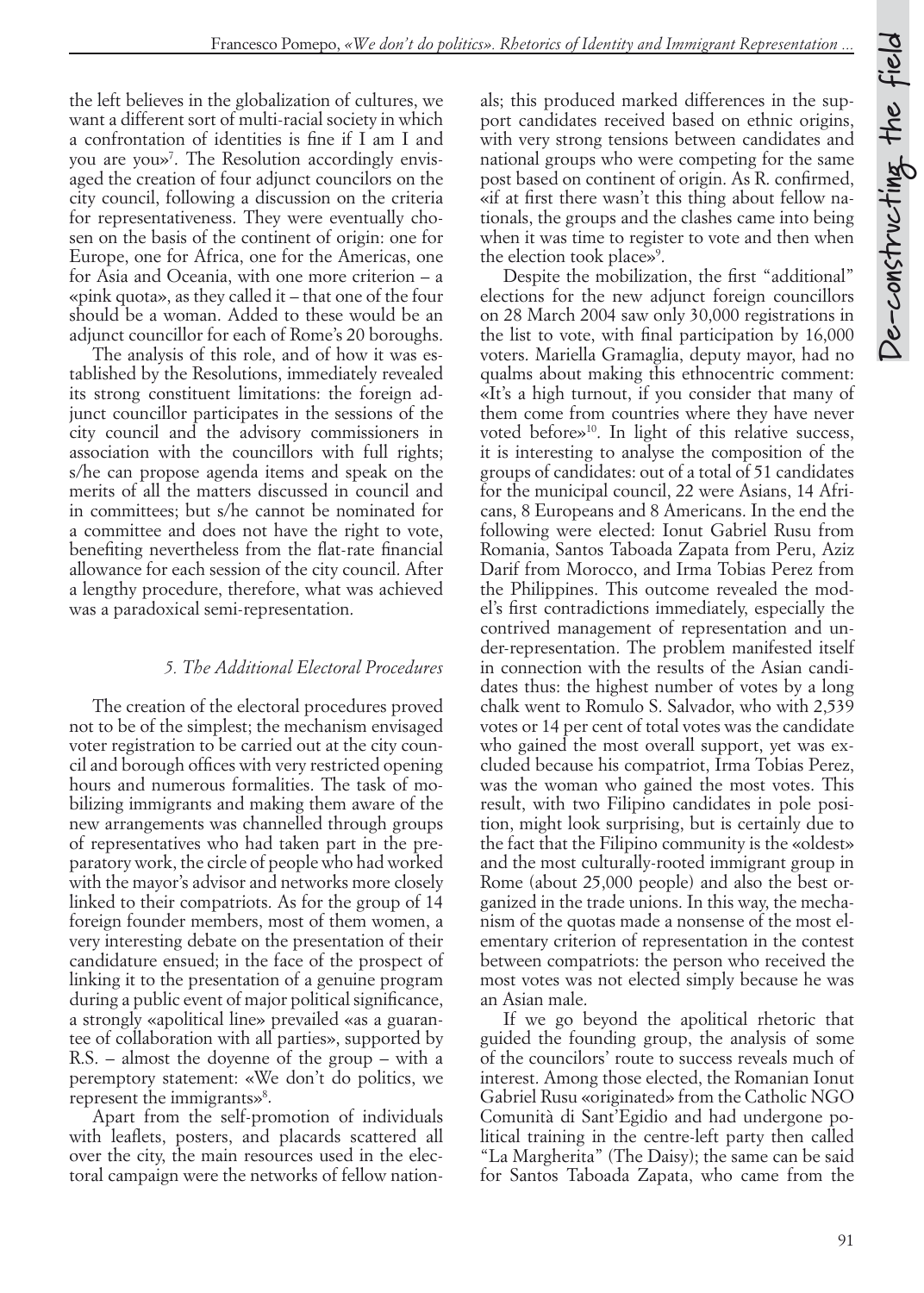the left believes in the globalization of cultures, we want a different sort of multi-racial society in which a confrontation of identities is fine if I am I and you are you»7 . The Resolution accordingly envisaged the creation of four adjunct councilors on the city council, following a discussion on the criteria for representativeness. They were eventually chosen on the basis of the continent of origin: one for Europe, one for Africa, one for the Americas, one for Asia and Oceania, with one more criterion – a «pink quota», as they called it – that one of the four should be a woman. Added to these would be an adjunct councillor for each of Rome's 20 boroughs.

The analysis of this role, and of how it was established by the Resolutions, immediately revealed its strong constituent limitations: the foreign adjunct councillor participates in the sessions of the city council and the advisory commissioners in association with the councillors with full rights; s/he can propose agenda items and speak on the merits of all the matters discussed in council and in committees; but s/he cannot be nominated for a committee and does not have the right to vote, benefiting nevertheless from the flat-rate financial allowance for each session of the city council. After a lengthy procedure, therefore, what was achieved was a paradoxical semi-representation.

#### *5. The Additional Electoral Procedures*

The creation of the electoral procedures proved not to be of the simplest; the mechanism envisaged voter registration to be carried out at the city council and borough offices with very restricted opening hours and numerous formalities. The task of mobilizing immigrants and making them aware of the new arrangements was channelled through groups of representatives who had taken part in the preparatory work, the circle of people who had worked with the mayor's advisor and networks more closely linked to their compatriots. As for the group of 14 foreign founder members, most of them women, a very interesting debate on the presentation of their candidature ensued; in the face of the prospect of linking it to the presentation of a genuine program during a public event of major political significance, a strongly «apolitical line» prevailed «as a guarantee of collaboration with all parties», supported by R.S. – almost the doyenne of the group – with a peremptory statement: «We don't do politics, we represent the immigrants»<sup>8</sup>.

Apart from the self-promotion of individuals with leaflets, posters, and placards scattered all over the city, the main resources used in the electoral campaign were the networks of fellow nationals; this produced marked differences in the support candidates received based on ethnic origins, with very strong tensions between candidates and national groups who were competing for the same post based on continent of origin. As R. confirmed, «if at first there wasn't this thing about fellow nationals, the groups and the clashes came into being when it was time to register to vote and then when the election took place»<sup>9</sup>.

Despite the mobilization, the first "additional" elections for the new adjunct foreign councillors on 28 March 2004 saw only 30,000 registrations in the list to vote, with final participation by 16,000 voters. Mariella Gramaglia, deputy mayor, had no qualms about making this ethnocentric comment: «It's a high turnout, if you consider that many of them come from countries where they have never voted before»10. In light of this relative success, it is interesting to analyse the composition of the groups of candidates: out of a total of 51 candidates for the municipal council, 22 were Asians, 14 Africans, 8 Europeans and 8 Americans. In the end the following were elected: Ionut Gabriel Rusu from Romania, Santos Taboada Zapata from Peru, Aziz Darif from Morocco, and Irma Tobias Perez from the Philippines. This outcome revealed the model's first contradictions immediately, especially the contrived management of representation and under-representation. The problem manifested itself in connection with the results of the Asian candidates thus: the highest number of votes by a long chalk went to Romulo S. Salvador, who with 2,539 votes or 14 per cent of total votes was the candidate who gained the most overall support, yet was excluded because his compatriot, Irma Tobias Perez, was the woman who gained the most votes. This result, with two Filipino candidates in pole position, might look surprising, but is certainly due to the fact that the Filipino community is the «oldest» and the most culturally-rooted immigrant group in Rome (about 25,000 people) and also the best organized in the trade unions. In this way, the mechanism of the quotas made a nonsense of the most elementary criterion of representation in the contest between compatriots: the person who received the most votes was not elected simply because he was an Asian male.

If we go beyond the apolitical rhetoric that guided the founding group, the analysis of some of the councilors' route to success reveals much of interest. Among those elected, the Romanian Ionut Gabriel Rusu «originated» from the Catholic NGO Comunità di Sant'Egidio and had undergone political training in the centre-left party then called "La Margherita" (The Daisy); the same can be said for Santos Taboada Zapata, who came from the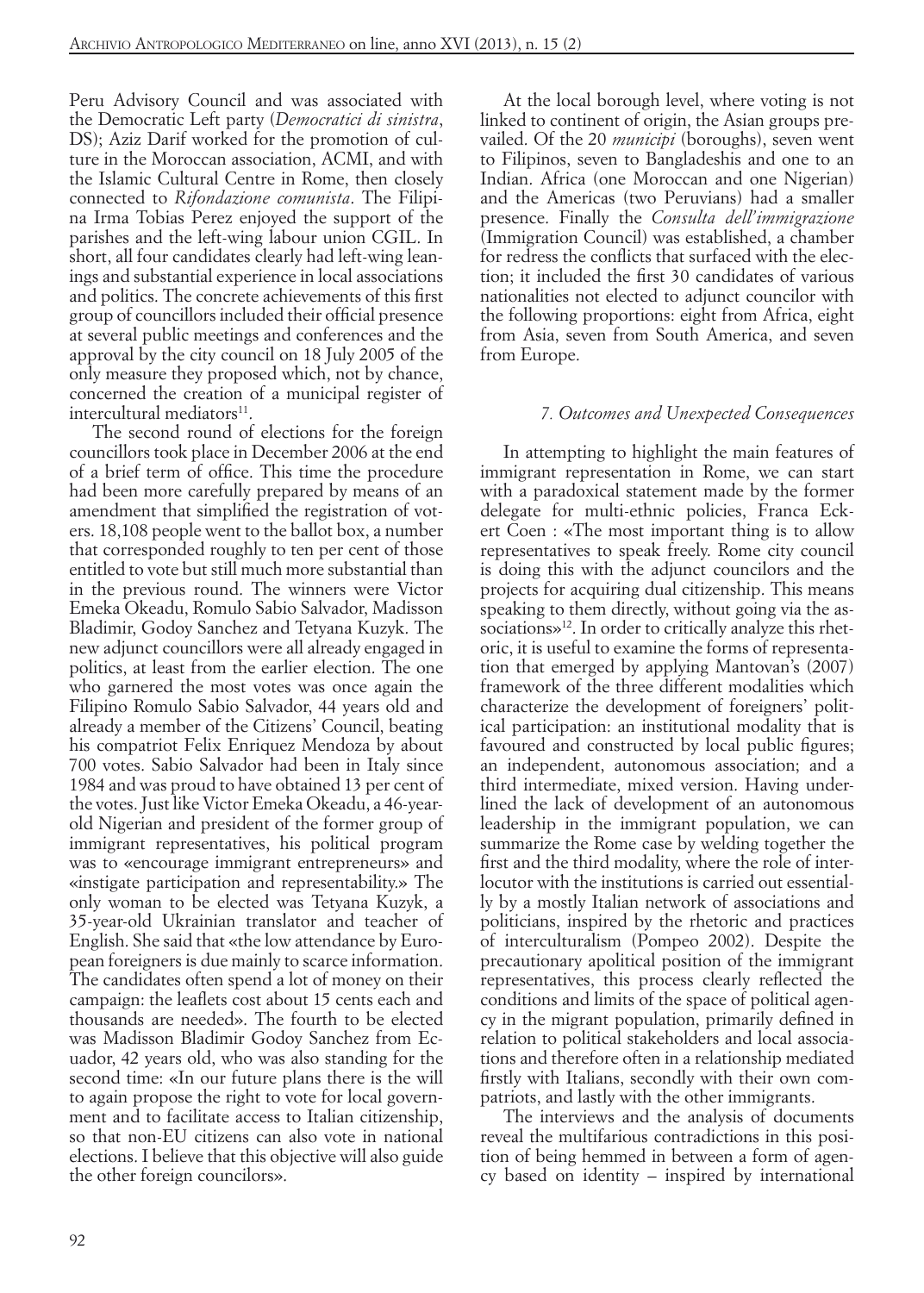Peru Advisory Council and was associated with the Democratic Left party (*Democratici di sinistra*, DS); Aziz Darif worked for the promotion of culture in the Moroccan association, ACMI, and with the Islamic Cultural Centre in Rome, then closely connected to *Rifondazione comunista*. The Filipina Irma Tobias Perez enjoyed the support of the parishes and the left-wing labour union CGIL. In short, all four candidates clearly had left-wing leanings and substantial experience in local associations and politics. The concrete achievements of this first group of councillors included their official presence at several public meetings and conferences and the approval by the city council on 18 July 2005 of the only measure they proposed which, not by chance, concerned the creation of a municipal register of intercultural mediators<sup>11</sup>.

The second round of elections for the foreign councillors took place in December 2006 at the end of a brief term of office. This time the procedure had been more carefully prepared by means of an amendment that simplified the registration of voters. 18,108 people went to the ballot box, a number that corresponded roughly to ten per cent of those entitled to vote but still much more substantial than in the previous round. The winners were Victor Emeka Okeadu, Romulo Sabio Salvador, Madisson Bladimir, Godoy Sanchez and Tetyana Kuzyk. The new adjunct councillors were all already engaged in politics, at least from the earlier election. The one who garnered the most votes was once again the Filipino Romulo Sabio Salvador, 44 years old and already a member of the Citizens' Council, beating his compatriot Felix Enriquez Mendoza by about 700 votes. Sabio Salvador had been in Italy since 1984 and was proud to have obtained 13 per cent of the votes. Just like Victor Emeka Okeadu, a 46-yearold Nigerian and president of the former group of immigrant representatives, his political program was to «encourage immigrant entrepreneurs» and «instigate participation and representability.» The only woman to be elected was Tetyana Kuzyk, a 35-year-old Ukrainian translator and teacher of English. She said that «the low attendance by European foreigners is due mainly to scarce information. The candidates often spend a lot of money on their campaign: the leaflets cost about 15 cents each and thousands are needed». The fourth to be elected was Madisson Bladimir Godoy Sanchez from Ecuador, 42 years old, who was also standing for the second time: «In our future plans there is the will to again propose the right to vote for local government and to facilitate access to Italian citizenship, so that non-EU citizens can also vote in national elections. I believe that this objective will also guide the other foreign councilors».

At the local borough level, where voting is not linked to continent of origin, the Asian groups prevailed. Of the 20 *municipi* (boroughs), seven went to Filipinos, seven to Bangladeshis and one to an Indian. Africa (one Moroccan and one Nigerian) and the Americas (two Peruvians) had a smaller presence. Finally the *Consulta dell'immigrazione* (Immigration Council) was established, a chamber for redress the conflicts that surfaced with the election; it included the first 30 candidates of various nationalities not elected to adjunct councilor with the following proportions: eight from Africa, eight from Asia, seven from South America, and seven from Europe.

#### *7. Outcomes and Unexpected Consequences*

In attempting to highlight the main features of immigrant representation in Rome, we can start with a paradoxical statement made by the former delegate for multi-ethnic policies, Franca Eckert Coen : «The most important thing is to allow representatives to speak freely. Rome city council is doing this with the adjunct councilors and the projects for acquiring dual citizenship. This means speaking to them directly, without going via the associations»<sup>12</sup>. In order to critically analyze this rhetoric, it is useful to examine the forms of representation that emerged by applying Mantovan's (2007) framework of the three different modalities which characterize the development of foreigners' political participation: an institutional modality that is favoured and constructed by local public figures; an independent, autonomous association; and a third intermediate, mixed version. Having underlined the lack of development of an autonomous leadership in the immigrant population, we can summarize the Rome case by welding together the first and the third modality, where the role of interlocutor with the institutions is carried out essentially by a mostly Italian network of associations and politicians, inspired by the rhetoric and practices of interculturalism (Pompeo 2002). Despite the precautionary apolitical position of the immigrant representatives, this process clearly reflected the conditions and limits of the space of political agency in the migrant population, primarily defined in relation to political stakeholders and local associations and therefore often in a relationship mediated firstly with Italians, secondly with their own compatriots, and lastly with the other immigrants.

The interviews and the analysis of documents reveal the multifarious contradictions in this position of being hemmed in between a form of agency based on identity – inspired by international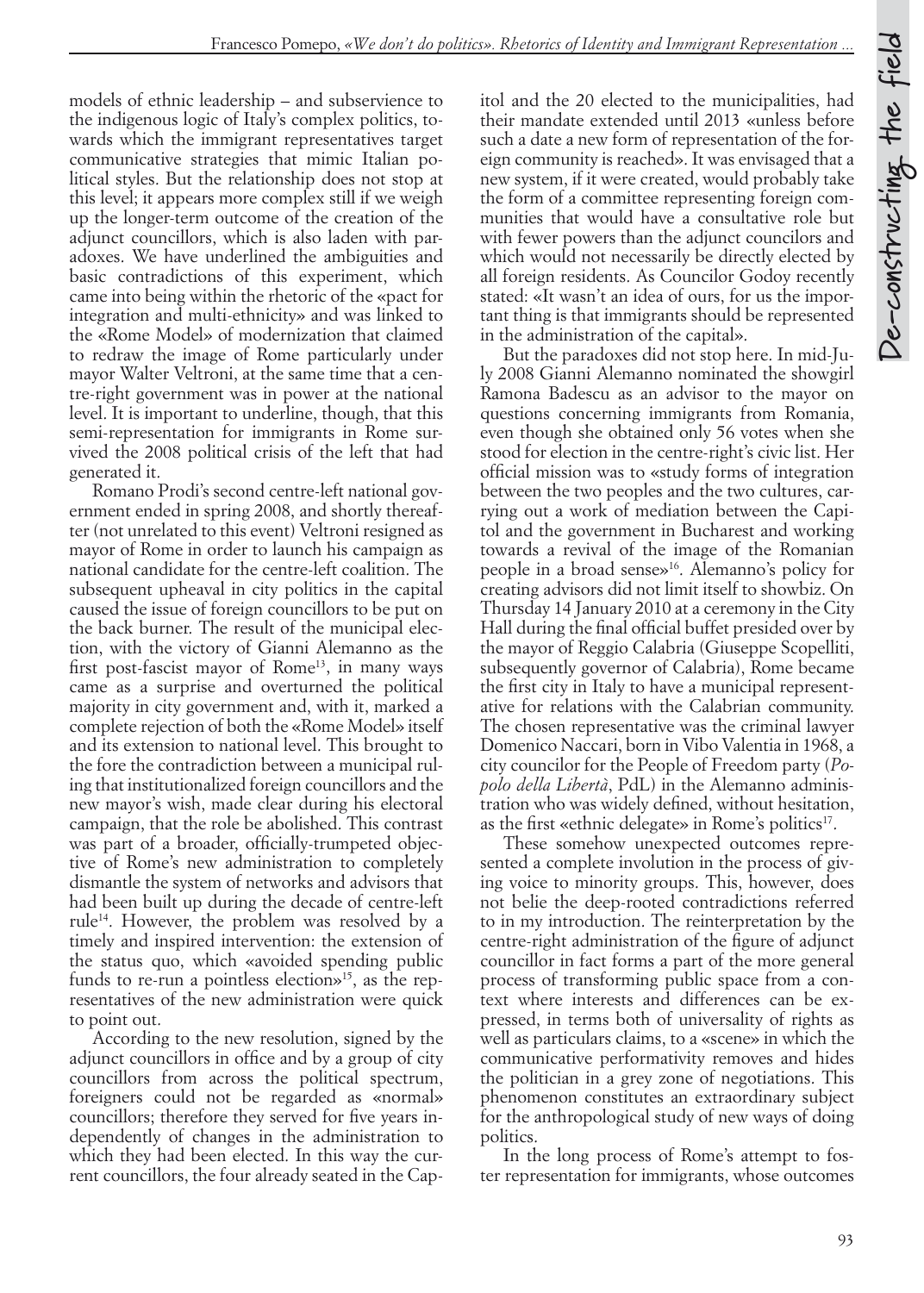models of ethnic leadership – and subservience to the indigenous logic of Italy's complex politics, towards which the immigrant representatives target communicative strategies that mimic Italian political styles. But the relationship does not stop at this level; it appears more complex still if we weigh up the longer-term outcome of the creation of the adjunct councillors, which is also laden with paradoxes. We have underlined the ambiguities and basic contradictions of this experiment, which came into being within the rhetoric of the «pact for integration and multi-ethnicity» and was linked to the «Rome Model» of modernization that claimed to redraw the image of Rome particularly under mayor Walter Veltroni, at the same time that a centre-right government was in power at the national level. It is important to underline, though, that this semi-representation for immigrants in Rome survived the 2008 political crisis of the left that had generated it.

Romano Prodi's second centre-left national government ended in spring 2008, and shortly thereafter (not unrelated to this event) Veltroni resigned as mayor of Rome in order to launch his campaign as national candidate for the centre-left coalition. The subsequent upheaval in city politics in the capital caused the issue of foreign councillors to be put on the back burner. The result of the municipal election, with the victory of Gianni Alemanno as the first post-fascist mayor of Rome<sup>13</sup>, in many ways came as a surprise and overturned the political majority in city government and, with it, marked a complete rejection of both the «Rome Model» itself and its extension to national level. This brought to the fore the contradiction between a municipal ruling that institutionalized foreign councillors and the new mayor's wish, made clear during his electoral campaign, that the role be abolished. This contrast was part of a broader, officially-trumpeted objective of Rome's new administration to completely dismantle the system of networks and advisors that had been built up during the decade of centre-left rule14. However, the problem was resolved by a timely and inspired intervention: the extension of the status quo, which «avoided spending public funds to re-run a pointless election $\psi^{15}$ , as the representatives of the new administration were quick to point out.

According to the new resolution, signed by the adjunct councillors in office and by a group of city councillors from across the political spectrum, foreigners could not be regarded as «normal» councillors; therefore they served for five years independently of changes in the administration to which they had been elected. In this way the current councillors, the four already seated in the Capitol and the 20 elected to the municipalities, had their mandate extended until 2013 «unless before such a date a new form of representation of the foreign community is reached». It was envisaged that a new system, if it were created, would probably take the form of a committee representing foreign communities that would have a consultative role but with fewer powers than the adjunct councilors and which would not necessarily be directly elected by all foreign residents. As Councilor Godoy recently stated: «It wasn't an idea of ours, for us the important thing is that immigrants should be represented in the administration of the capital».

But the paradoxes did not stop here. In mid-July 2008 Gianni Alemanno nominated the showgirl Ramona Badescu as an advisor to the mayor on questions concerning immigrants from Romania, even though she obtained only 56 votes when she stood for election in the centre-right's civic list. Her official mission was to «study forms of integration between the two peoples and the two cultures, carrying out a work of mediation between the Capitol and the government in Bucharest and working towards a revival of the image of the Romanian people in a broad sense»16. Alemanno's policy for creating advisors did not limit itself to showbiz. On Thursday 14 January 2010 at a ceremony in the City Hall during the final official buffet presided over by the mayor of Reggio Calabria (Giuseppe Scopelliti, subsequently governor of Calabria), Rome became the first city in Italy to have a municipal representative for relations with the Calabrian community. The chosen representative was the criminal lawyer Domenico Naccari, born in Vibo Valentia in 1968, a city councilor for the People of Freedom party (*Popolo della Libertà*, PdL) in the Alemanno administration who was widely defined, without hesitation, as the first «ethnic delegate» in Rome's politics<sup>17</sup>.

These somehow unexpected outcomes represented a complete involution in the process of giving voice to minority groups. This, however, does not belie the deep-rooted contradictions referred to in my introduction. The reinterpretation by the centre-right administration of the figure of adjunct councillor in fact forms a part of the more general process of transforming public space from a context where interests and differences can be expressed, in terms both of universality of rights as well as particulars claims, to a «scene» in which the communicative performativity removes and hides the politician in a grey zone of negotiations. This phenomenon constitutes an extraordinary subject for the anthropological study of new ways of doing politics.

In the long process of Rome's attempt to foster representation for immigrants, whose outcomes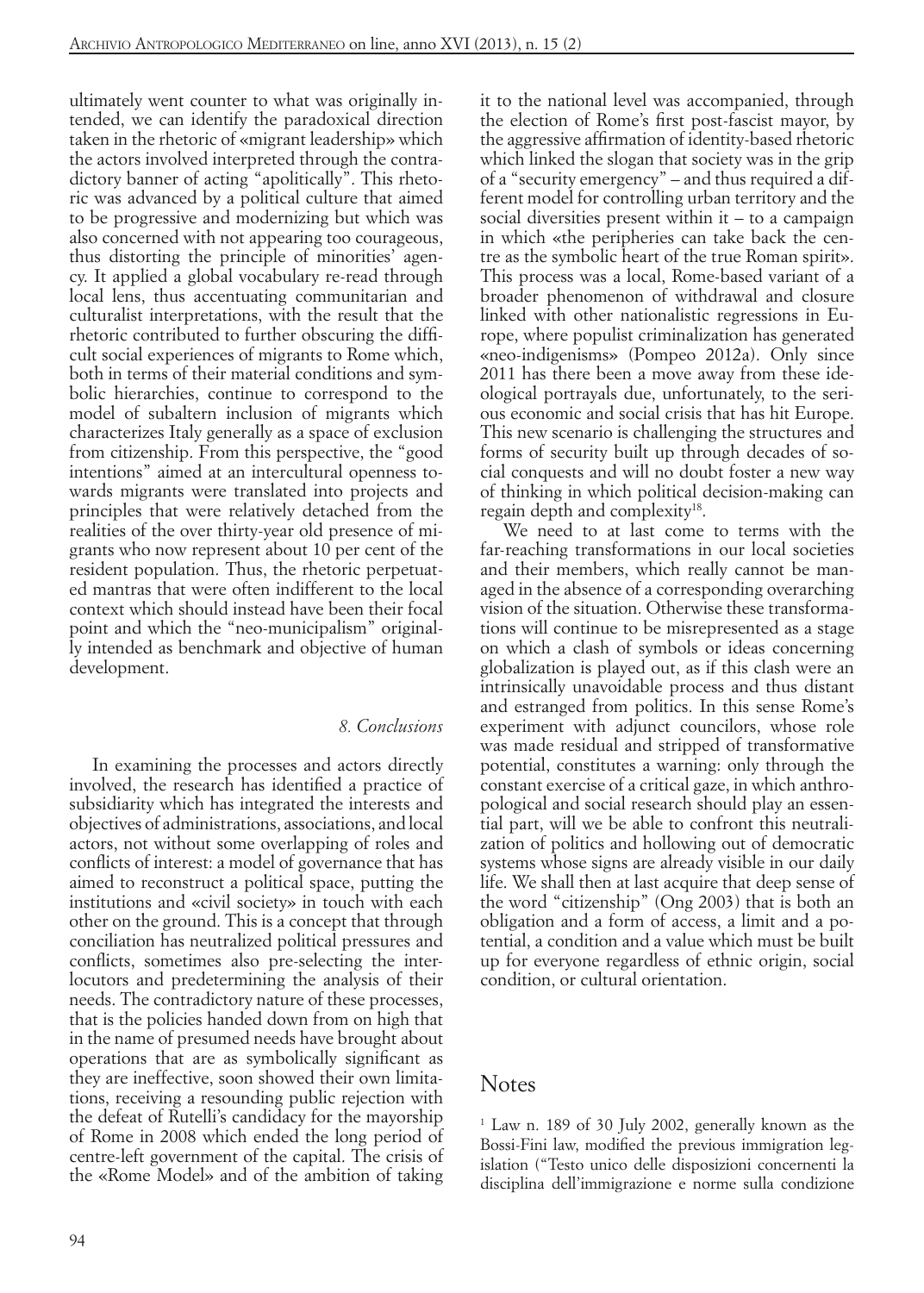ultimately went counter to what was originally intended, we can identify the paradoxical direction taken in the rhetoric of «migrant leadership» which the actors involved interpreted through the contradictory banner of acting "apolitically". This rhetoric was advanced by a political culture that aimed to be progressive and modernizing but which was also concerned with not appearing too courageous, thus distorting the principle of minorities' agency. It applied a global vocabulary re-read through local lens, thus accentuating communitarian and culturalist interpretations, with the result that the rhetoric contributed to further obscuring the difficult social experiences of migrants to Rome which, both in terms of their material conditions and symbolic hierarchies, continue to correspond to the model of subaltern inclusion of migrants which characterizes Italy generally as a space of exclusion from citizenship. From this perspective, the "good intentions" aimed at an intercultural openness towards migrants were translated into projects and principles that were relatively detached from the realities of the over thirty-year old presence of migrants who now represent about 10 per cent of the resident population. Thus, the rhetoric perpetuated mantras that were often indifferent to the local context which should instead have been their focal point and which the "neo-municipalism" originally intended as benchmark and objective of human development.

#### *8. Conclusions*

In examining the processes and actors directly involved, the research has identified a practice of subsidiarity which has integrated the interests and objectives of administrations, associations, and local actors, not without some overlapping of roles and conflicts of interest: a model of governance that has aimed to reconstruct a political space, putting the institutions and «civil society» in touch with each other on the ground. This is a concept that through conciliation has neutralized political pressures and conflicts, sometimes also pre-selecting the interlocutors and predetermining the analysis of their needs. The contradictory nature of these processes, that is the policies handed down from on high that in the name of presumed needs have brought about operations that are as symbolically significant as they are ineffective, soon showed their own limitations, receiving a resounding public rejection with the defeat of Rutelli's candidacy for the mayorship of Rome in 2008 which ended the long period of centre-left government of the capital. The crisis of the «Rome Model» and of the ambition of taking it to the national level was accompanied, through the election of Rome's first post-fascist mayor, by the aggressive affirmation of identity-based rhetoric which linked the slogan that society was in the grip of a "security emergency" – and thus required a different model for controlling urban territory and the social diversities present within it – to a campaign in which «the peripheries can take back the centre as the symbolic heart of the true Roman spirit». This process was a local, Rome-based variant of a broader phenomenon of withdrawal and closure linked with other nationalistic regressions in Europe, where populist criminalization has generated «neo-indigenisms» (Pompeo 2012a). Only since 2011 has there been a move away from these ideological portrayals due, unfortunately, to the serious economic and social crisis that has hit Europe. This new scenario is challenging the structures and forms of security built up through decades of social conquests and will no doubt foster a new way of thinking in which political decision-making can regain depth and complexity<sup>18</sup>.

We need to at last come to terms with the far-reaching transformations in our local societies and their members, which really cannot be managed in the absence of a corresponding overarching vision of the situation. Otherwise these transformations will continue to be misrepresented as a stage on which a clash of symbols or ideas concerning globalization is played out, as if this clash were an intrinsically unavoidable process and thus distant and estranged from politics. In this sense Rome's experiment with adjunct councilors, whose role was made residual and stripped of transformative potential, constitutes a warning: only through the constant exercise of a critical gaze, in which anthropological and social research should play an essential part, will we be able to confront this neutralization of politics and hollowing out of democratic systems whose signs are already visible in our daily life. We shall then at last acquire that deep sense of the word "citizenship" (Ong 2003) that is both an obligation and a form of access, a limit and a potential, a condition and a value which must be built up for everyone regardless of ethnic origin, social condition, or cultural orientation.

#### **Notes**

1 Law n. 189 of 30 July 2002, generally known as the Bossi-Fini law, modified the previous immigration legislation ("Testo unico delle disposizioni concernenti la disciplina dell'immigrazione e norme sulla condizione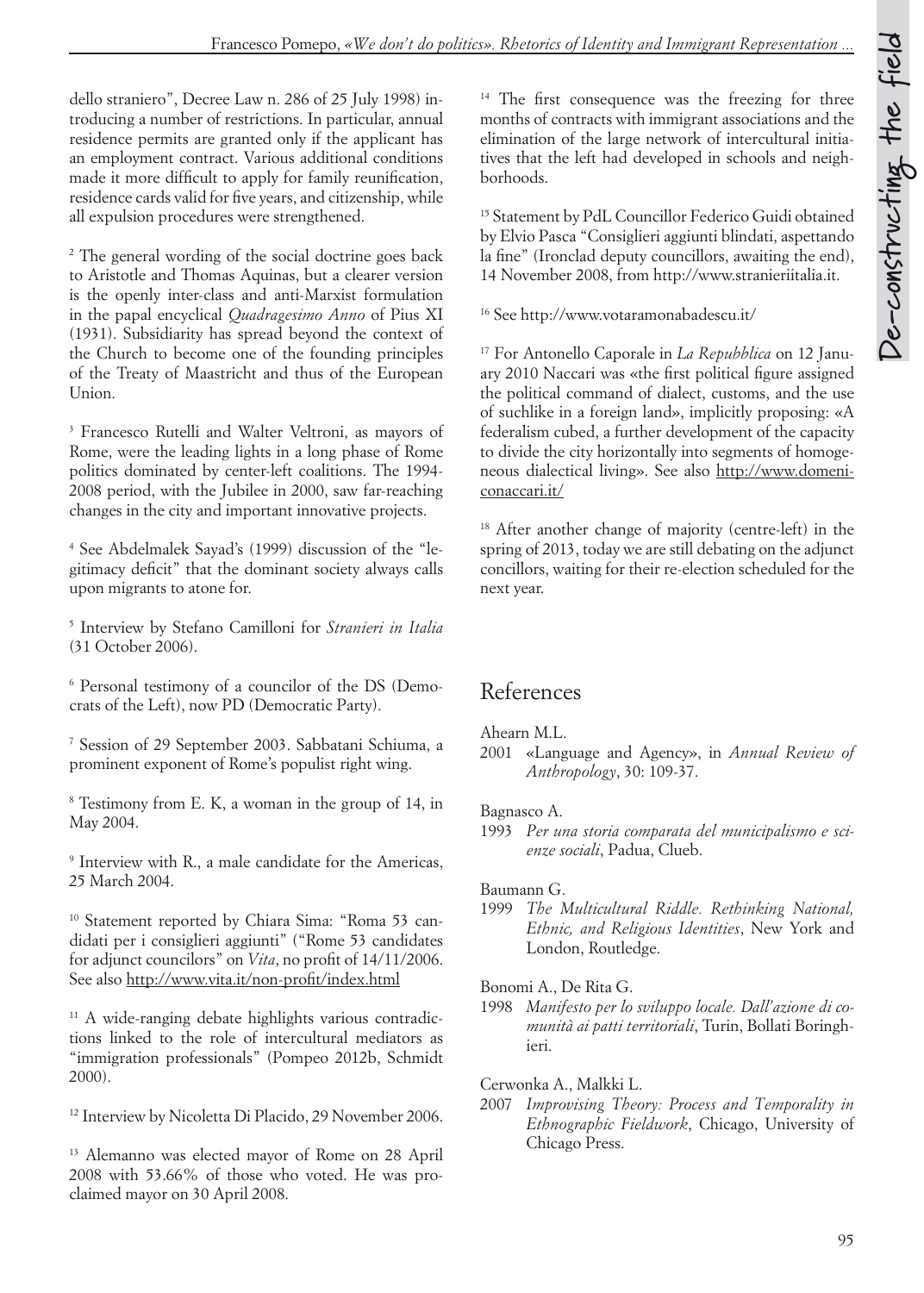dello straniero", Decree Law n. 286 of 25 July 1998) introducing a number of restrictions. In particular, annual residence permits are granted only if the applicant has an employment contract. Various additional conditions made it more difficult to apply for family reunification, residence cards valid for five years, and citizenship, while all expulsion procedures were strengthened.

2 The general wording of the social doctrine goes back to Aristotle and Thomas Aquinas, but a clearer version is the openly inter-class and anti-Marxist formulation in the papal encyclical *Quadragesimo Anno* of Pius XI (1931). Subsidiarity has spread beyond the context of the Church to become one of the founding principles of the Treaty of Maastricht and thus of the European Union.

3 Francesco Rutelli and Walter Veltroni, as mayors of Rome, were the leading lights in a long phase of Rome politics dominated by center-left coalitions. The 1994- 2008 period, with the Jubilee in 2000, saw far-reaching changes in the city and important innovative projects.

4 See Abdelmalek Sayad's (1999) discussion of the "legitimacy deficit" that the dominant society always calls upon migrants to atone for.

5 Interview by Stefano Camilloni for *Stranieri in Italia*  (31 October 2006).

6 Personal testimony of a councilor of the DS (Democrats of the Left), now PD (Democratic Party).

7 Session of 29 September 2003. Sabbatani Schiuma, a prominent exponent of Rome's populist right wing.

8 Testimony from E. K, a woman in the group of 14, in May 2004.

9 Interview with R., a male candidate for the Americas, 25 March 2004.

10 Statement reported by Chiara Sima: "Roma 53 candidati per i consiglieri aggiunti" ("Rome 53 candidates for adjunct councilors" on *Vita*, no profit of 14/11/2006. See also http://www.vita.it/non-profit/index.html

<sup>11</sup> A wide-ranging debate highlights various contradictions linked to the role of intercultural mediators as "immigration professionals" (Pompeo 2012b, Schmidt 2000).

<sup>12</sup> Interview by Nicoletta Di Placido, 29 November 2006.

13 Alemanno was elected mayor of Rome on 28 April 2008 with 53.66% of those who voted. He was proclaimed mayor on 30 April 2008.

<sup>14</sup> The first consequence was the freezing for three months of contracts with immigrant associations and the elimination of the large network of intercultural initiatives that the left had developed in schools and neighborhoods.

15 Statement by PdL Councillor Federico Guidi obtained by Elvio Pasca "Consiglieri aggiunti blindati, aspettando la fine" (Ironclad deputy councillors, awaiting the end), 14 November 2008, from http://www.stranieriitalia.it.

16 See http://www.votaramonabadescu.it/

17 For Antonello Caporale in *La Repubblica* on 12 January 2010 Naccari was «the first political figure assigned the political command of dialect, customs, and the use of suchlike in a foreign land», implicitly proposing: «A federalism cubed, a further development of the capacity to divide the city horizontally into segments of homogeneous dialectical living». See also http://www.domeniconaccari.it/

18 After another change of majority (centre-left) in the spring of 2013, today we are still debating on the adjunct concillors, waiting for their re-election scheduled for the next year.

### References

#### Ahearn M.L.

2001 «Language and Agency», in *Annual Review of Anthropology*, 30: 109-37.

#### Bagnasco A.

1993 *Per una storia comparata del municipalismo e scienze sociali*, Padua, Clueb.

#### Baumann G.

1999 *The Multicultural Riddle. Rethinking National, Ethnic, and Religious Identities*, New York and London, Routledge.

Bonomi A., De Rita G.

1998 *Manifesto per lo sviluppo locale. Dall'azione di comunità ai patti territoriali*, Turin, Bollati Boringhieri.

Cerwonka A., Malkki L.

2007 *Improvising Theory: Process and Temporality in Ethnographic Fieldwork*, Chicago, University of Chicago Press.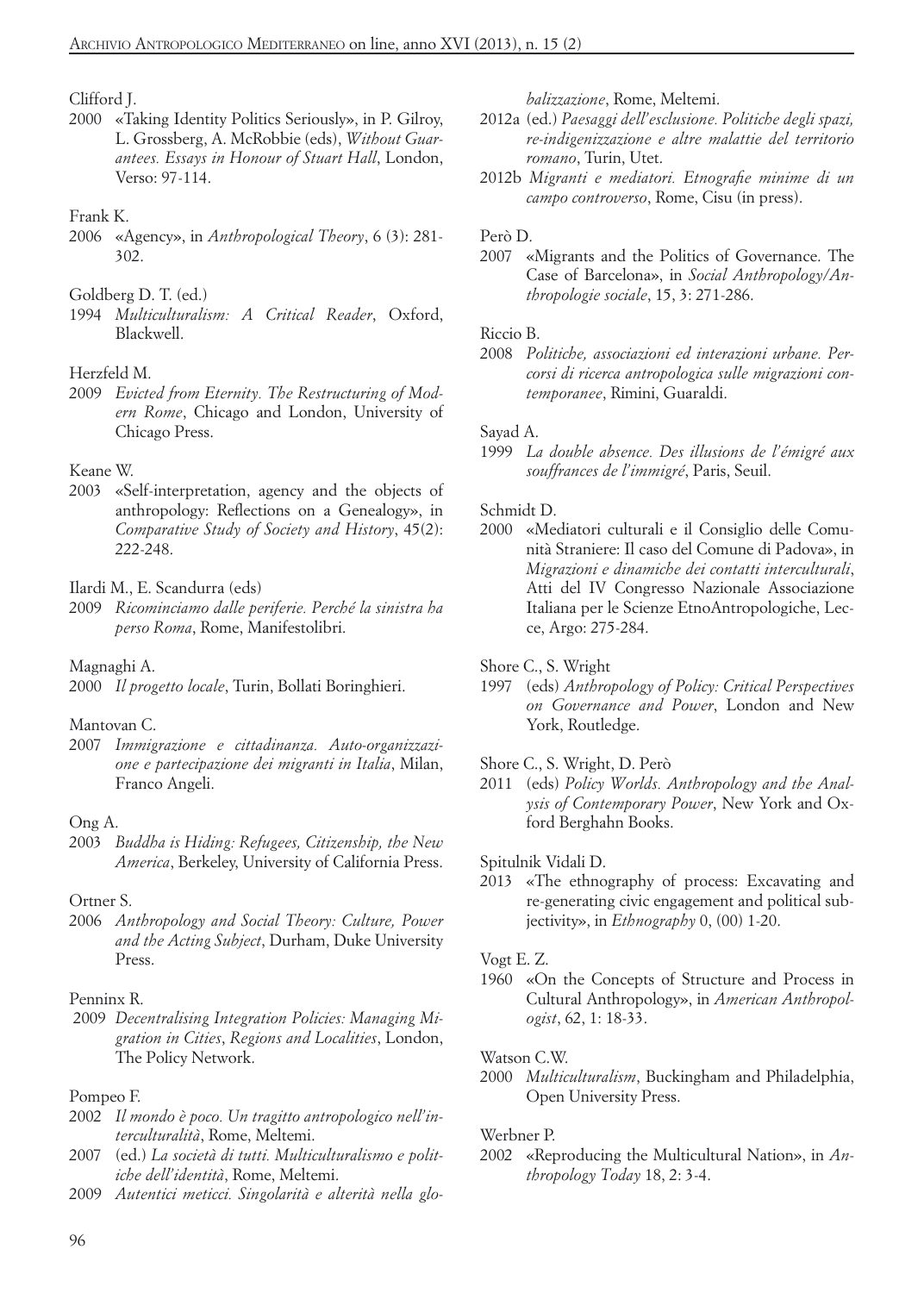#### Clifford J.

2000 «Taking Identity Politics Seriously», in P. Gilroy, L. Grossberg, A. McRobbie (eds), *Without Guarantees. Essays in Honour of Stuart Hall*, London, Verso: 97-114.

#### Frank K.

2006 «Agency», in *Anthropological Theory*, 6 (3): 281- 302.

#### Goldberg D. T. (ed.)

1994 *Multiculturalism: A Critical Reader*, Oxford, Blackwell.

#### Herzfeld M.

2009 *Evicted from Eternity. The Restructuring of Modern Rome*, Chicago and London, University of Chicago Press.

#### Keane W.

2003 «Self-interpretation, agency and the objects of anthropology: Reflections on a Genealogy», in *Comparative Study of Society and History*, 45(2): 222-248.

#### Ilardi M., E. Scandurra (eds)

2009 *Ricominciamo dalle periferie. Perché la sinistra ha perso Roma*, Rome, Manifestolibri.

#### Magnaghi A.

2000 *Il progetto locale*, Turin, Bollati Boringhieri.

#### Mantovan C.

2007 *Immigrazione e cittadinanza. Auto-organizzazione e partecipazione dei migranti in Italia*, Milan, Franco Angeli.

#### Ong A.

2003 *Buddha is Hiding: Refugees, Citizenship, the New America*, Berkeley, University of California Press.

#### Ortner S.

2006 *Anthropology and Social Theory: Culture, Power and the Acting Subject*, Durham, Duke University Press.

#### Penninx R.

 2009 *Decentralising Integration Policies: Managing Migration in Cities*, *Regions and Localities*, London, The Policy Network.

#### Pompeo F.

- 2002 *Il mondo è poco. Un tragitto antropologico nell'interculturalità*, Rome, Meltemi.
- 2007 (ed.) *La società di tutti. Multiculturalismo e politiche dell'identità*, Rome, Meltemi.
- 2009 *Autentici meticci. Singolarità e alterità nella glo-*

*balizzazione*, Rome, Meltemi.

- 2012a (ed.) *Paesaggi dell'esclusione. Politiche degli spazi, re-indigenizzazione e altre malattie del territorio romano*, Turin, Utet.
- 2012b *Migranti e mediatori. Etnografie minime di un campo controverso*, Rome, Cisu (in press).

#### Però D.

2007 «Migrants and the Politics of Governance. The Case of Barcelona», in *Social Anthropology/Anthropologie sociale*, 15, 3: 271-286.

#### Riccio B.

2008 *Politiche, associazioni ed interazioni urbane. Percorsi di ricerca antropologica sulle migrazioni contemporanee*, Rimini, Guaraldi.

#### Sayad A.

1999 *La double absence. Des illusions de l'émigré aux souffrances de l'immigré*, Paris, Seuil.

#### Schmidt D.

2000 «Mediatori culturali e il Consiglio delle Comunità Straniere: Il caso del Comune di Padova», in *Migrazioni e dinamiche dei contatti interculturali*, Atti del IV Congresso Nazionale Associazione Italiana per le Scienze EtnoAntropologiche, Lecce, Argo: 275-284.

Shore C., S. Wright

1997 (eds) *Anthropology of Policy: Critical Perspectives on Governance and Power*, London and New York, Routledge.

Shore C., S. Wright, D. Però

2011 (eds) *Policy Worlds. Anthropology and the Analysis of Contemporary Power*, New York and Oxford Berghahn Books.

Spitulnik Vidali D.

2013 «The ethnography of process: Excavating and re-generating civic engagement and political subjectivity», in *Ethnography* 0, (00) 1-20.

#### Vogt E. Z.

1960 «On the Concepts of Structure and Process in Cultural Anthropology», in *American Anthropologist*, 62, 1: 18-33.

#### Watson C.W.

2000 *Multiculturalism*, Buckingham and Philadelphia, Open University Press.

#### Werbner P.

2002 «Reproducing the Multicultural Nation», in *Anthropology Today* 18, 2: 3-4.